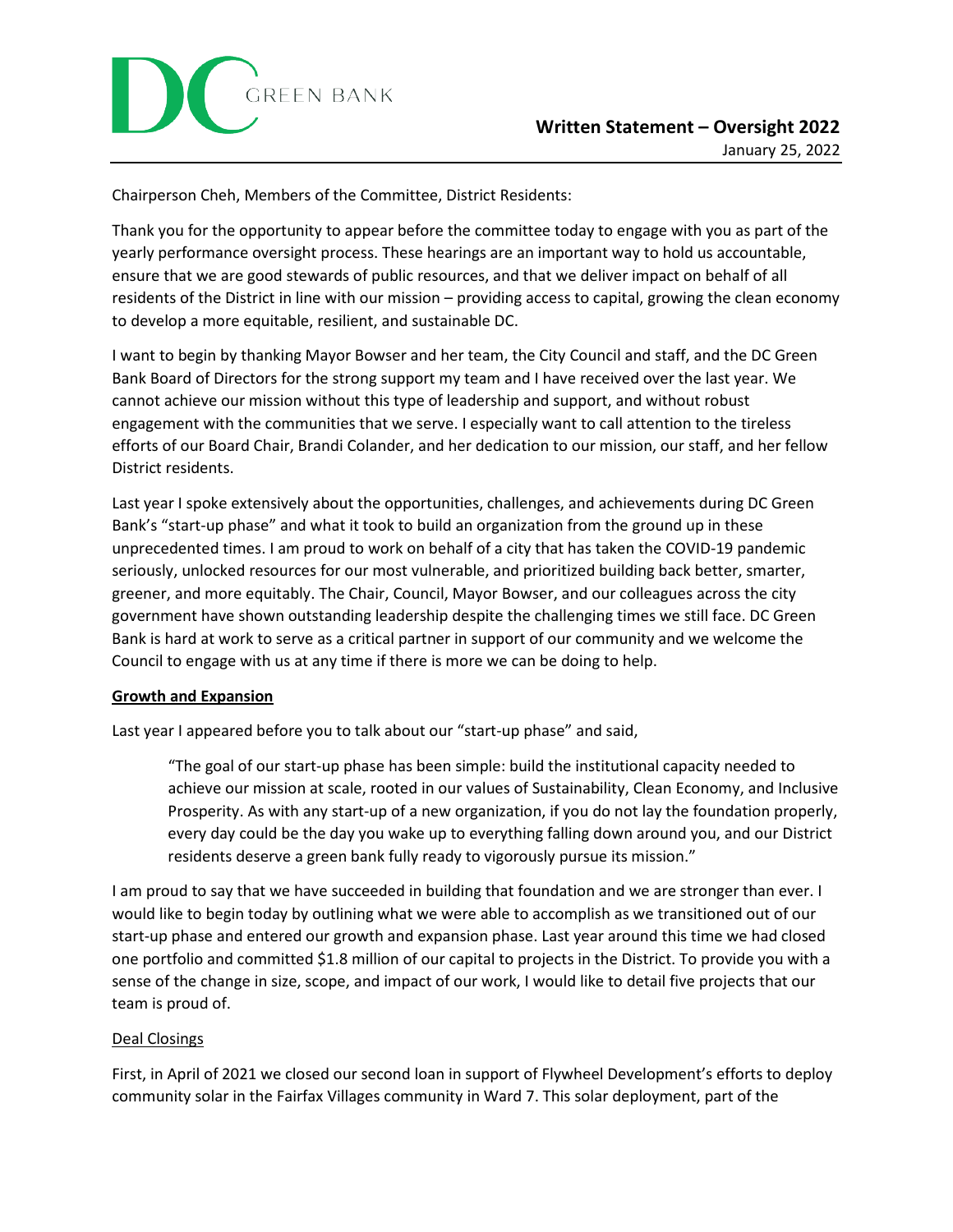Chairperson Cheh, Members of the Committee, District Residents:

Thank you for the opportunity to appear before the committee today to engage with you as part of the yearly performance oversight process. These hearings are an important way to hold us accountable, ensure that we are good stewards of public resources, and that we deliver impact on behalf of all residents of the District in line with our mission – providing access to capital, growing the clean economy to develop a more equitable, resilient, and sustainable DC.

I want to begin by thanking Mayor Bowser and her team, the City Council and staff, and the DC Green Bank Board of Directors for the strong support my team and I have received over the last year. We cannot achieve our mission without this type of leadership and support, and without robust engagement with the communities that we serve. I especially want to call attention to the tireless efforts of our Board Chair, Brandi Colander, and her dedication to our mission, our staff, and her fellow District residents.

Last year I spoke extensively about the opportunities, challenges, and achievements during DC Green Bank's "start-up phase" and what it took to build an organization from the ground up in these unprecedented times. I am proud to work on behalf of a city that has taken the COVID-19 pandemic seriously, unlocked resources for our most vulnerable, and prioritized building back better, smarter, greener, and more equitably. The Chair, Council, Mayor Bowser, and our colleagues across the city government have shown outstanding leadership despite the challenging times we still face. DC Green Bank is hard at work to serve as a critical partner in support of our community and we welcome the Council to engage with us at any time if there is more we can be doing to help.

## **Growth and Expansion**

Last year I appeared before you to talk about our "start-up phase" and said,

"The goal of our start-up phase has been simple: build the institutional capacity needed to achieve our mission at scale, rooted in our values of Sustainability, Clean Economy, and Inclusive Prosperity. As with any start-up of a new organization, if you do not lay the foundation properly, every day could be the day you wake up to everything falling down around you, and our District residents deserve a green bank fully ready to vigorously pursue its mission."

I am proud to say that we have succeeded in building that foundation and we are stronger than ever. I would like to begin today by outlining what we were able to accomplish as we transitioned out of our start-up phase and entered our growth and expansion phase. Last year around this time we had closed one portfolio and committed \$1.8 million of our capital to projects in the District. To provide you with a sense of the change in size, scope, and impact of our work, I would like to detail five projects that our team is proud of.

## Deal Closings

First, in April of 2021 we closed our second loan in support of Flywheel Development's efforts to deploy community solar in the Fairfax Villages community in Ward 7. This solar deployment, part of the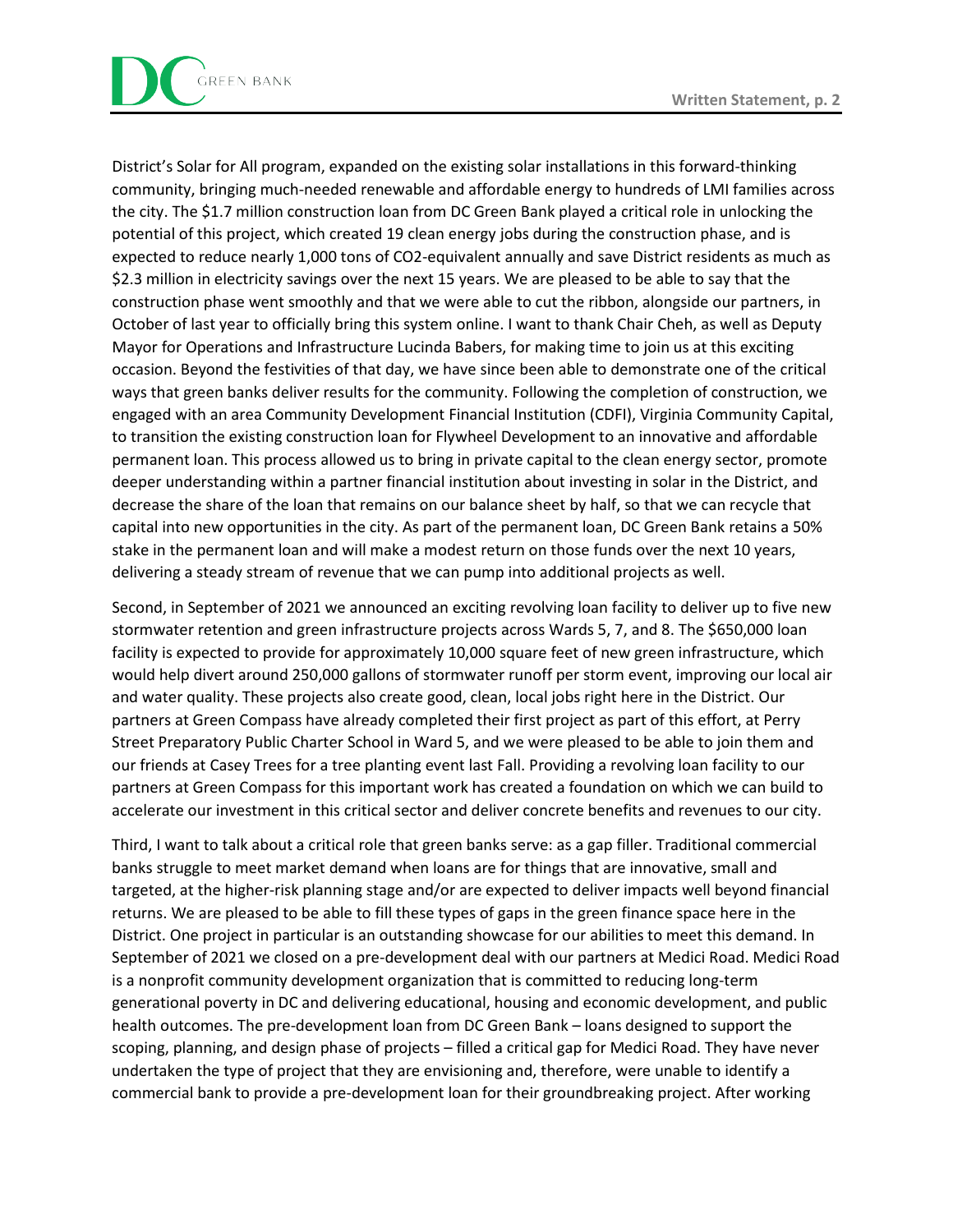

District's Solar for All program, expanded on the existing solar installations in this forward-thinking community, bringing much-needed renewable and affordable energy to hundreds of LMI families across the city. The \$1.7 million construction loan from DC Green Bank played a critical role in unlocking the potential of this project, which created 19 clean energy jobs during the construction phase, and is expected to reduce nearly 1,000 tons of CO2-equivalent annually and save District residents as much as \$2.3 million in electricity savings over the next 15 years. We are pleased to be able to say that the construction phase went smoothly and that we were able to cut the ribbon, alongside our partners, in October of last year to officially bring this system online. I want to thank Chair Cheh, as well as Deputy Mayor for Operations and Infrastructure Lucinda Babers, for making time to join us at this exciting occasion. Beyond the festivities of that day, we have since been able to demonstrate one of the critical ways that green banks deliver results for the community. Following the completion of construction, we engaged with an area Community Development Financial Institution (CDFI), Virginia Community Capital, to transition the existing construction loan for Flywheel Development to an innovative and affordable permanent loan. This process allowed us to bring in private capital to the clean energy sector, promote deeper understanding within a partner financial institution about investing in solar in the District, and decrease the share of the loan that remains on our balance sheet by half, so that we can recycle that capital into new opportunities in the city. As part of the permanent loan, DC Green Bank retains a 50% stake in the permanent loan and will make a modest return on those funds over the next 10 years, delivering a steady stream of revenue that we can pump into additional projects as well.

Second, in September of 2021 we announced an exciting revolving loan facility to deliver up to five new stormwater retention and green infrastructure projects across Wards 5, 7, and 8. The \$650,000 loan facility is expected to provide for approximately 10,000 square feet of new green infrastructure, which would help divert around 250,000 gallons of stormwater runoff per storm event, improving our local air and water quality. These projects also create good, clean, local jobs right here in the District. Our partners at Green Compass have already completed their first project as part of this effort, at Perry Street Preparatory Public Charter School in Ward 5, and we were pleased to be able to join them and our friends at Casey Trees for a tree planting event last Fall. Providing a revolving loan facility to our partners at Green Compass for this important work has created a foundation on which we can build to accelerate our investment in this critical sector and deliver concrete benefits and revenues to our city.

Third, I want to talk about a critical role that green banks serve: as a gap filler. Traditional commercial banks struggle to meet market demand when loans are for things that are innovative, small and targeted, at the higher-risk planning stage and/or are expected to deliver impacts well beyond financial returns. We are pleased to be able to fill these types of gaps in the green finance space here in the District. One project in particular is an outstanding showcase for our abilities to meet this demand. In September of 2021 we closed on a pre-development deal with our partners at Medici Road. Medici Road is a nonprofit community development organization that is committed to reducing long-term generational poverty in DC and delivering educational, housing and economic development, and public health outcomes. The pre-development loan from DC Green Bank – loans designed to support the scoping, planning, and design phase of projects – filled a critical gap for Medici Road. They have never undertaken the type of project that they are envisioning and, therefore, were unable to identify a commercial bank to provide a pre-development loan for their groundbreaking project. After working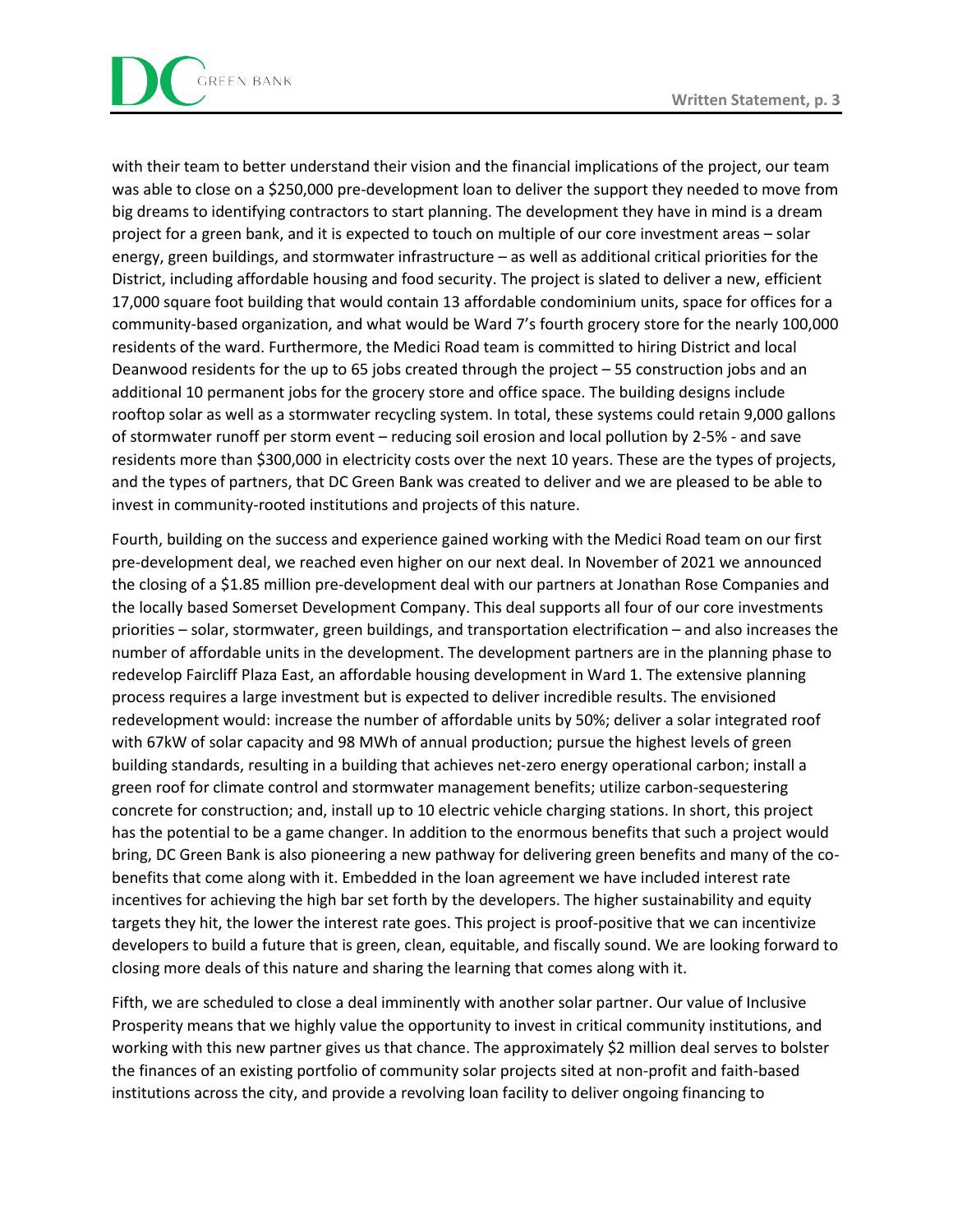with their team to better understand their vision and the financial implications of the project, our team was able to close on a \$250,000 pre-development loan to deliver the support they needed to move from big dreams to identifying contractors to start planning. The development they have in mind is a dream project for a green bank, and it is expected to touch on multiple of our core investment areas – solar energy, green buildings, and stormwater infrastructure – as well as additional critical priorities for the District, including affordable housing and food security. The project is slated to deliver a new, efficient 17,000 square foot building that would contain 13 affordable condominium units, space for offices for a community-based organization, and what would be Ward 7's fourth grocery store for the nearly 100,000 residents of the ward. Furthermore, the Medici Road team is committed to hiring District and local Deanwood residents for the up to 65 jobs created through the project – 55 construction jobs and an additional 10 permanent jobs for the grocery store and office space. The building designs include rooftop solar as well as a stormwater recycling system. In total, these systems could retain 9,000 gallons of stormwater runoff per storm event – reducing soil erosion and local pollution by 2-5% - and save residents more than \$300,000 in electricity costs over the next 10 years. These are the types of projects, and the types of partners, that DC Green Bank was created to deliver and we are pleased to be able to invest in community-rooted institutions and projects of this nature.

Fourth, building on the success and experience gained working with the Medici Road team on our first pre-development deal, we reached even higher on our next deal. In November of 2021 we announced the closing of a \$1.85 million pre-development deal with our partners at Jonathan Rose Companies and the locally based Somerset Development Company. This deal supports all four of our core investments priorities – solar, stormwater, green buildings, and transportation electrification – and also increases the number of affordable units in the development. The development partners are in the planning phase to redevelop Faircliff Plaza East, an affordable housing development in Ward 1. The extensive planning process requires a large investment but is expected to deliver incredible results. The envisioned redevelopment would: increase the number of affordable units by 50%; deliver a solar integrated roof with 67kW of solar capacity and 98 MWh of annual production; pursue the highest levels of green building standards, resulting in a building that achieves net-zero energy operational carbon; install a green roof for climate control and stormwater management benefits; utilize carbon-sequestering concrete for construction; and, install up to 10 electric vehicle charging stations. In short, this project has the potential to be a game changer. In addition to the enormous benefits that such a project would bring, DC Green Bank is also pioneering a new pathway for delivering green benefits and many of the cobenefits that come along with it. Embedded in the loan agreement we have included interest rate incentives for achieving the high bar set forth by the developers. The higher sustainability and equity targets they hit, the lower the interest rate goes. This project is proof-positive that we can incentivize developers to build a future that is green, clean, equitable, and fiscally sound. We are looking forward to closing more deals of this nature and sharing the learning that comes along with it.

Fifth, we are scheduled to close a deal imminently with another solar partner. Our value of Inclusive Prosperity means that we highly value the opportunity to invest in critical community institutions, and working with this new partner gives us that chance. The approximately \$2 million deal serves to bolster the finances of an existing portfolio of community solar projects sited at non-profit and faith-based institutions across the city, and provide a revolving loan facility to deliver ongoing financing to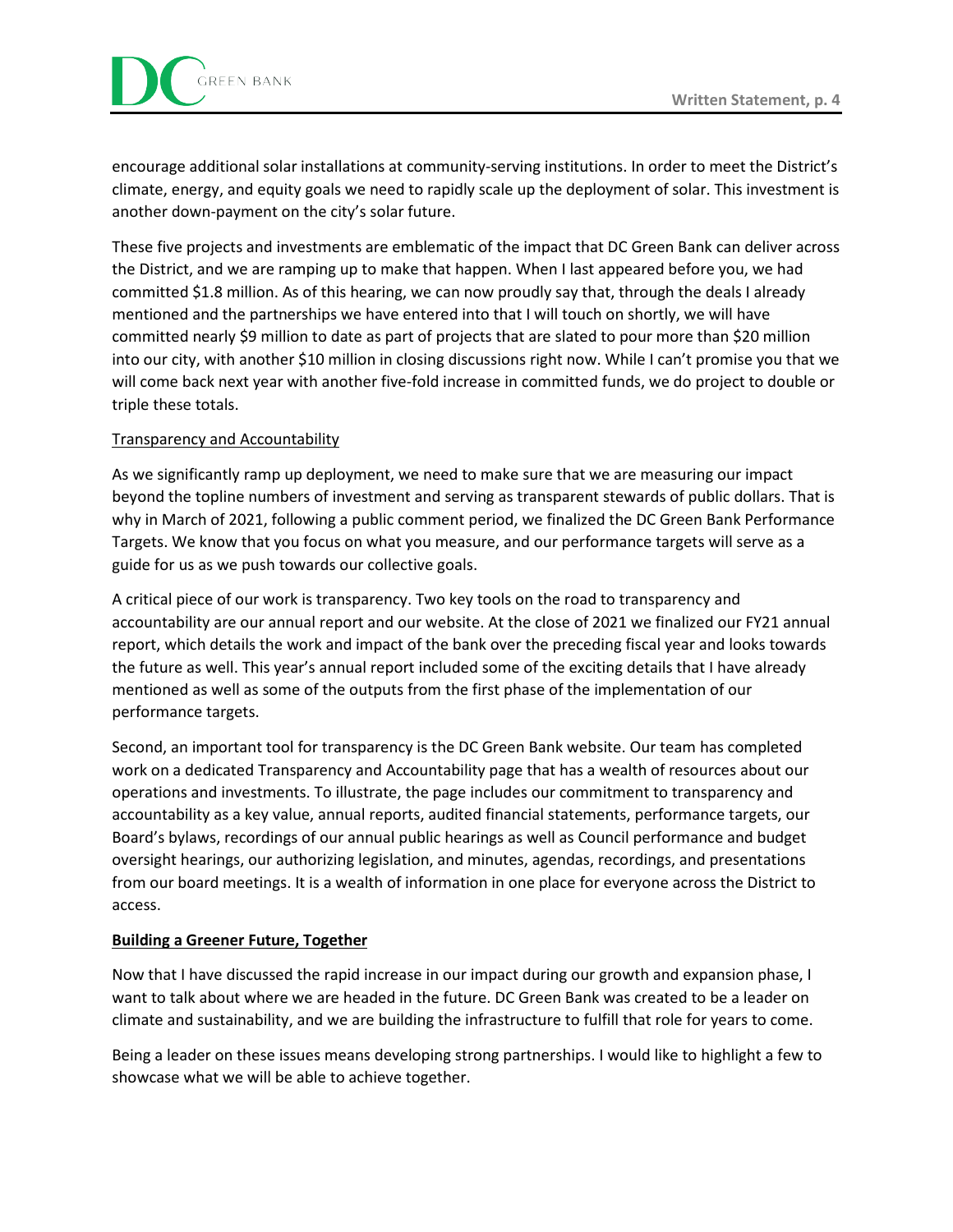encourage additional solar installations at community-serving institutions. In order to meet the District's climate, energy, and equity goals we need to rapidly scale up the deployment of solar. This investment is another down-payment on the city's solar future.

These five projects and investments are emblematic of the impact that DC Green Bank can deliver across the District, and we are ramping up to make that happen. When I last appeared before you, we had committed \$1.8 million. As of this hearing, we can now proudly say that, through the deals I already mentioned and the partnerships we have entered into that I will touch on shortly, we will have committed nearly \$9 million to date as part of projects that are slated to pour more than \$20 million into our city, with another \$10 million in closing discussions right now. While I can't promise you that we will come back next year with another five-fold increase in committed funds, we do project to double or triple these totals.

## Transparency and Accountability

As we significantly ramp up deployment, we need to make sure that we are measuring our impact beyond the topline numbers of investment and serving as transparent stewards of public dollars. That is why in March of 2021, following a public comment period, we finalized the DC Green Bank Performance Targets. We know that you focus on what you measure, and our performance targets will serve as a guide for us as we push towards our collective goals.

A critical piece of our work is transparency. Two key tools on the road to transparency and accountability are our annual report and our website. At the close of 2021 we finalized our FY21 annual report, which details the work and impact of the bank over the preceding fiscal year and looks towards the future as well. This year's annual report included some of the exciting details that I have already mentioned as well as some of the outputs from the first phase of the implementation of our performance targets.

Second, an important tool for transparency is the DC Green Bank website. Our team has completed work on a dedicated Transparency and Accountability page that has a wealth of resources about our operations and investments. To illustrate, the page includes our commitment to transparency and accountability as a key value, annual reports, audited financial statements, performance targets, our Board's bylaws, recordings of our annual public hearings as well as Council performance and budget oversight hearings, our authorizing legislation, and minutes, agendas, recordings, and presentations from our board meetings. It is a wealth of information in one place for everyone across the District to access.

## **Building a Greener Future, Together**

Now that I have discussed the rapid increase in our impact during our growth and expansion phase, I want to talk about where we are headed in the future. DC Green Bank was created to be a leader on climate and sustainability, and we are building the infrastructure to fulfill that role for years to come.

Being a leader on these issues means developing strong partnerships. I would like to highlight a few to showcase what we will be able to achieve together.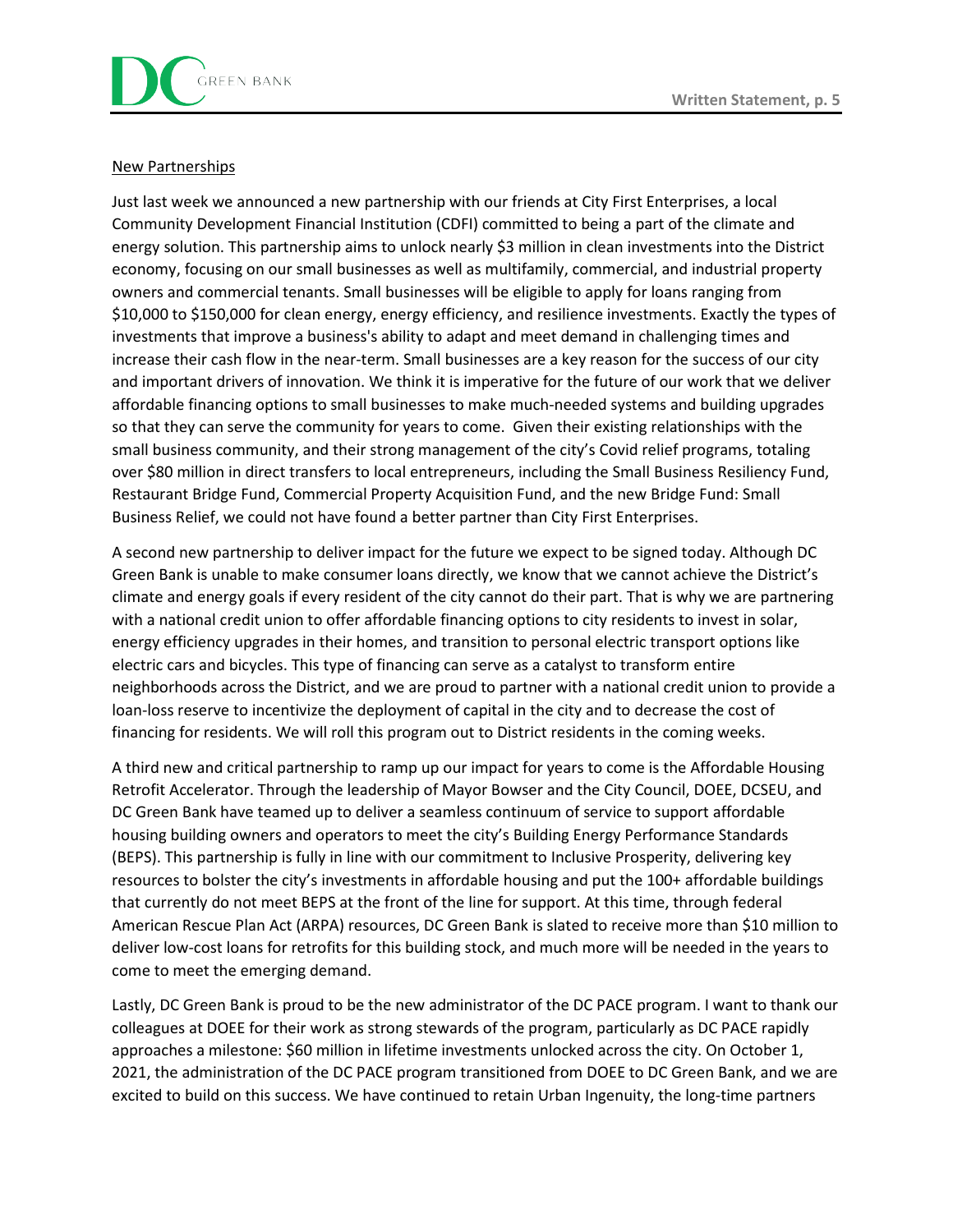### New Partnerships

Just last week we announced a new partnership with our friends at City First Enterprises, a local Community Development Financial Institution (CDFI) committed to being a part of the climate and energy solution. This partnership aims to unlock nearly \$3 million in clean investments into the District economy, focusing on our small businesses as well as multifamily, commercial, and industrial property owners and commercial tenants. Small businesses will be eligible to apply for loans ranging from \$10,000 to \$150,000 for clean energy, energy efficiency, and resilience investments. Exactly the types of investments that improve a business's ability to adapt and meet demand in challenging times and increase their cash flow in the near-term. Small businesses are a key reason for the success of our city and important drivers of innovation. We think it is imperative for the future of our work that we deliver affordable financing options to small businesses to make much-needed systems and building upgrades so that they can serve the community for years to come. Given their existing relationships with the small business community, and their strong management of the city's Covid relief programs, totaling over \$80 million in direct transfers to local entrepreneurs, including the Small Business Resiliency Fund, Restaurant Bridge Fund, Commercial Property Acquisition Fund, and the new Bridge Fund: Small Business Relief, we could not have found a better partner than City First Enterprises.

A second new partnership to deliver impact for the future we expect to be signed today. Although DC Green Bank is unable to make consumer loans directly, we know that we cannot achieve the District's climate and energy goals if every resident of the city cannot do their part. That is why we are partnering with a national credit union to offer affordable financing options to city residents to invest in solar, energy efficiency upgrades in their homes, and transition to personal electric transport options like electric cars and bicycles. This type of financing can serve as a catalyst to transform entire neighborhoods across the District, and we are proud to partner with a national credit union to provide a loan-loss reserve to incentivize the deployment of capital in the city and to decrease the cost of financing for residents. We will roll this program out to District residents in the coming weeks.

A third new and critical partnership to ramp up our impact for years to come is the Affordable Housing Retrofit Accelerator. Through the leadership of Mayor Bowser and the City Council, DOEE, DCSEU, and DC Green Bank have teamed up to deliver a seamless continuum of service to support affordable housing building owners and operators to meet the city's Building Energy Performance Standards (BEPS). This partnership is fully in line with our commitment to Inclusive Prosperity, delivering key resources to bolster the city's investments in affordable housing and put the 100+ affordable buildings that currently do not meet BEPS at the front of the line for support. At this time, through federal American Rescue Plan Act (ARPA) resources, DC Green Bank is slated to receive more than \$10 million to deliver low-cost loans for retrofits for this building stock, and much more will be needed in the years to come to meet the emerging demand.

Lastly, DC Green Bank is proud to be the new administrator of the DC PACE program. I want to thank our colleagues at DOEE for their work as strong stewards of the program, particularly as DC PACE rapidly approaches a milestone: \$60 million in lifetime investments unlocked across the city. On October 1, 2021, the administration of the DC PACE program transitioned from DOEE to DC Green Bank, and we are excited to build on this success. We have continued to retain Urban Ingenuity, the long-time partners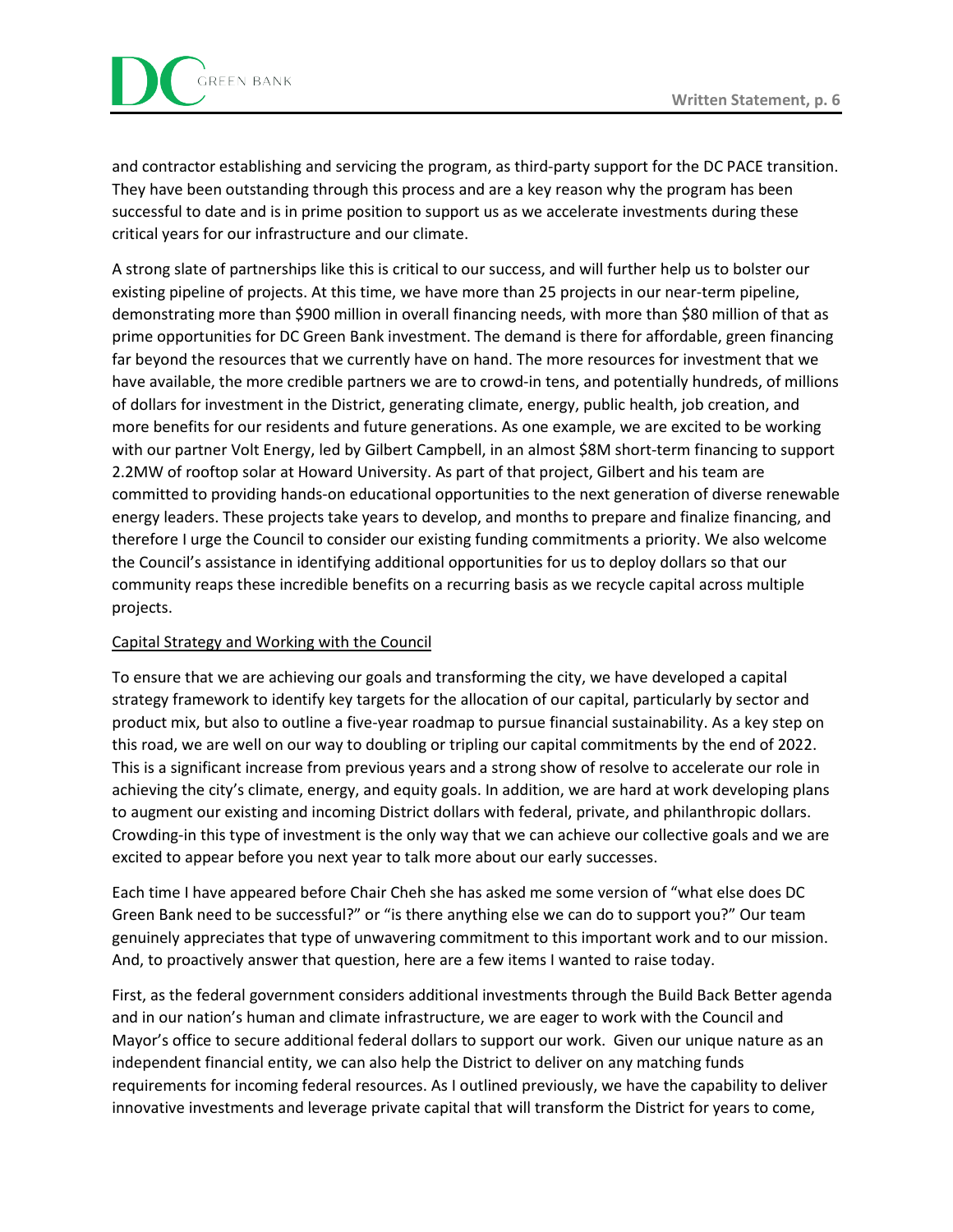and contractor establishing and servicing the program, as third-party support for the DC PACE transition. They have been outstanding through this process and are a key reason why the program has been successful to date and is in prime position to support us as we accelerate investments during these critical years for our infrastructure and our climate.

A strong slate of partnerships like this is critical to our success, and will further help us to bolster our existing pipeline of projects. At this time, we have more than 25 projects in our near-term pipeline, demonstrating more than \$900 million in overall financing needs, with more than \$80 million of that as prime opportunities for DC Green Bank investment. The demand is there for affordable, green financing far beyond the resources that we currently have on hand. The more resources for investment that we have available, the more credible partners we are to crowd-in tens, and potentially hundreds, of millions of dollars for investment in the District, generating climate, energy, public health, job creation, and more benefits for our residents and future generations. As one example, we are excited to be working with our partner Volt Energy, led by Gilbert Campbell, in an almost \$8M short-term financing to support 2.2MW of rooftop solar at Howard University. As part of that project, Gilbert and his team are committed to providing hands-on educational opportunities to the next generation of diverse renewable energy leaders. These projects take years to develop, and months to prepare and finalize financing, and therefore I urge the Council to consider our existing funding commitments a priority. We also welcome the Council's assistance in identifying additional opportunities for us to deploy dollars so that our community reaps these incredible benefits on a recurring basis as we recycle capital across multiple projects.

## Capital Strategy and Working with the Council

To ensure that we are achieving our goals and transforming the city, we have developed a capital strategy framework to identify key targets for the allocation of our capital, particularly by sector and product mix, but also to outline a five-year roadmap to pursue financial sustainability. As a key step on this road, we are well on our way to doubling or tripling our capital commitments by the end of 2022. This is a significant increase from previous years and a strong show of resolve to accelerate our role in achieving the city's climate, energy, and equity goals. In addition, we are hard at work developing plans to augment our existing and incoming District dollars with federal, private, and philanthropic dollars. Crowding-in this type of investment is the only way that we can achieve our collective goals and we are excited to appear before you next year to talk more about our early successes.

Each time I have appeared before Chair Cheh she has asked me some version of "what else does DC Green Bank need to be successful?" or "is there anything else we can do to support you?" Our team genuinely appreciates that type of unwavering commitment to this important work and to our mission. And, to proactively answer that question, here are a few items I wanted to raise today.

First, as the federal government considers additional investments through the Build Back Better agenda and in our nation's human and climate infrastructure, we are eager to work with the Council and Mayor's office to secure additional federal dollars to support our work. Given our unique nature as an independent financial entity, we can also help the District to deliver on any matching funds requirements for incoming federal resources. As I outlined previously, we have the capability to deliver innovative investments and leverage private capital that will transform the District for years to come,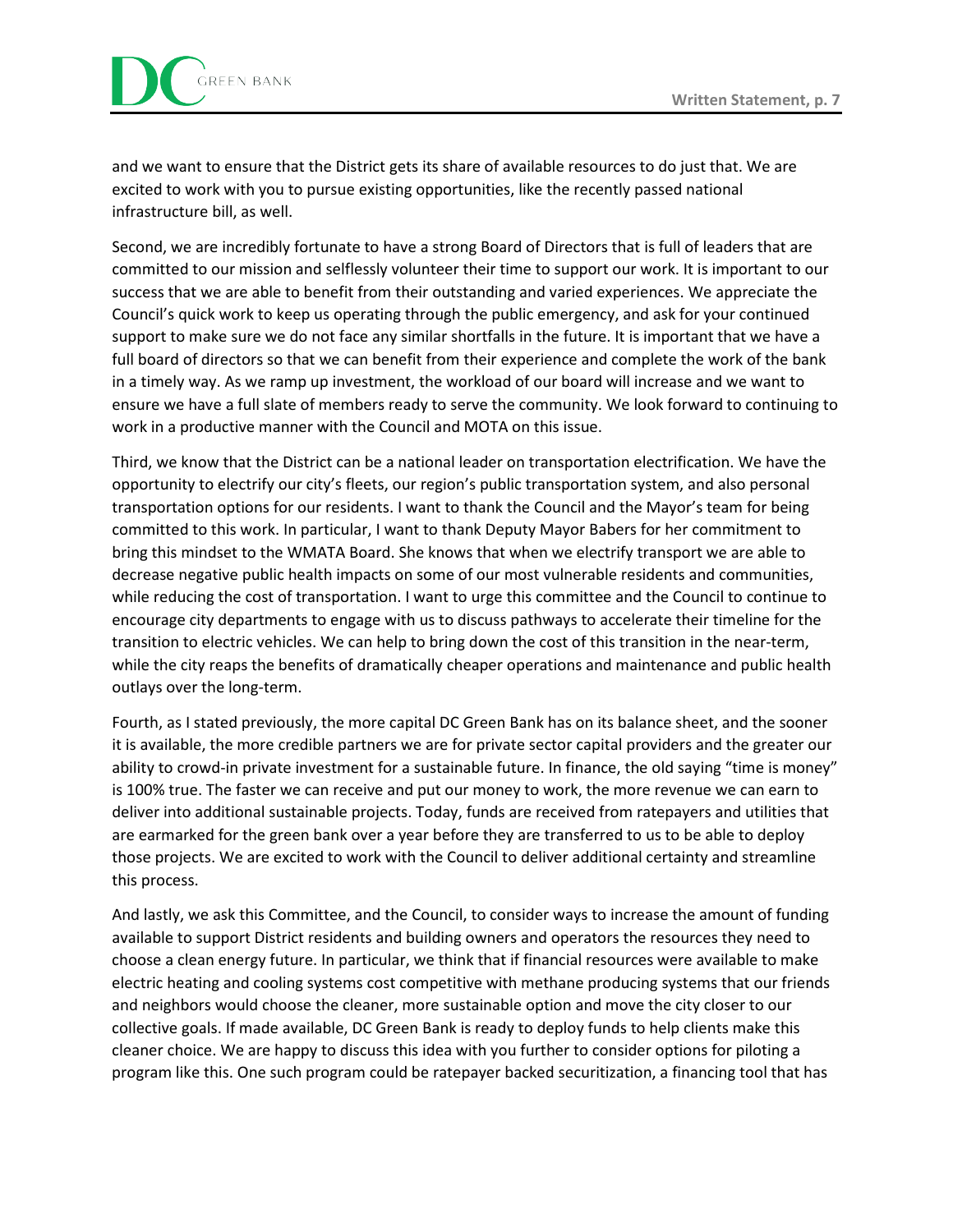and we want to ensure that the District gets its share of available resources to do just that. We are excited to work with you to pursue existing opportunities, like the recently passed national infrastructure bill, as well.

Second, we are incredibly fortunate to have a strong Board of Directors that is full of leaders that are committed to our mission and selflessly volunteer their time to support our work. It is important to our success that we are able to benefit from their outstanding and varied experiences. We appreciate the Council's quick work to keep us operating through the public emergency, and ask for your continued support to make sure we do not face any similar shortfalls in the future. It is important that we have a full board of directors so that we can benefit from their experience and complete the work of the bank in a timely way. As we ramp up investment, the workload of our board will increase and we want to ensure we have a full slate of members ready to serve the community. We look forward to continuing to work in a productive manner with the Council and MOTA on this issue.

Third, we know that the District can be a national leader on transportation electrification. We have the opportunity to electrify our city's fleets, our region's public transportation system, and also personal transportation options for our residents. I want to thank the Council and the Mayor's team for being committed to this work. In particular, I want to thank Deputy Mayor Babers for her commitment to bring this mindset to the WMATA Board. She knows that when we electrify transport we are able to decrease negative public health impacts on some of our most vulnerable residents and communities, while reducing the cost of transportation. I want to urge this committee and the Council to continue to encourage city departments to engage with us to discuss pathways to accelerate their timeline for the transition to electric vehicles. We can help to bring down the cost of this transition in the near-term, while the city reaps the benefits of dramatically cheaper operations and maintenance and public health outlays over the long-term.

Fourth, as I stated previously, the more capital DC Green Bank has on its balance sheet, and the sooner it is available, the more credible partners we are for private sector capital providers and the greater our ability to crowd-in private investment for a sustainable future. In finance, the old saying "time is money" is 100% true. The faster we can receive and put our money to work, the more revenue we can earn to deliver into additional sustainable projects. Today, funds are received from ratepayers and utilities that are earmarked for the green bank over a year before they are transferred to us to be able to deploy those projects. We are excited to work with the Council to deliver additional certainty and streamline this process.

And lastly, we ask this Committee, and the Council, to consider ways to increase the amount of funding available to support District residents and building owners and operators the resources they need to choose a clean energy future. In particular, we think that if financial resources were available to make electric heating and cooling systems cost competitive with methane producing systems that our friends and neighbors would choose the cleaner, more sustainable option and move the city closer to our collective goals. If made available, DC Green Bank is ready to deploy funds to help clients make this cleaner choice. We are happy to discuss this idea with you further to consider options for piloting a program like this. One such program could be ratepayer backed securitization, a financing tool that has